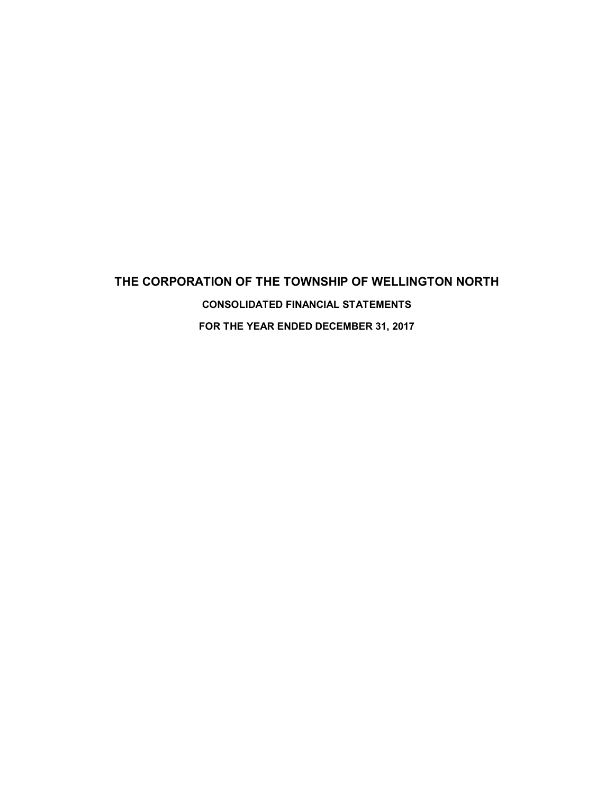# **THE CORPORATION OF THE TOWNSHIP OF WELLINGTON NORTH CONSOLIDATED FINANCIAL STATEMENTS FOR THE YEAR ENDED DECEMBER 31, 2017**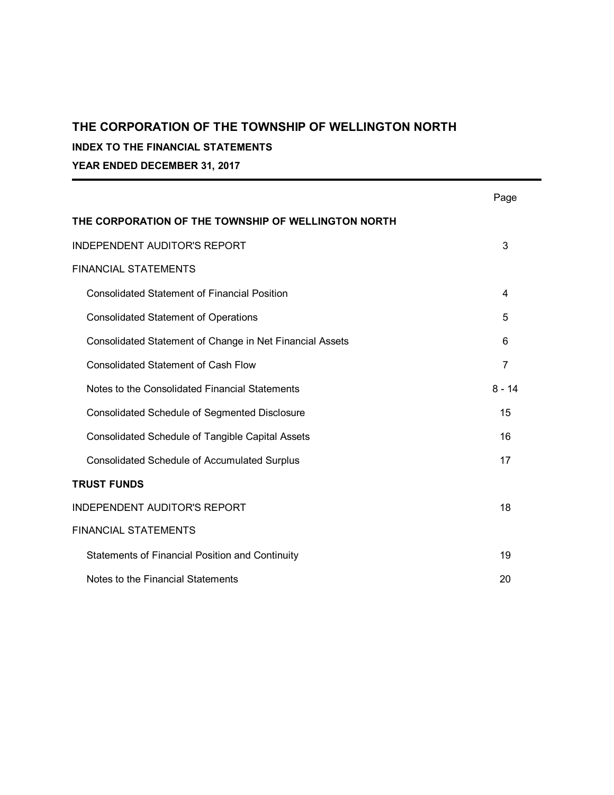# **INDEX TO THE FINANCIAL STATEMENTS**

**YEAR ENDED DECEMBER 31, 2017**

|                                                          | Page           |
|----------------------------------------------------------|----------------|
| THE CORPORATION OF THE TOWNSHIP OF WELLINGTON NORTH      |                |
| <b>INDEPENDENT AUDITOR'S REPORT</b>                      | 3              |
| <b>FINANCIAL STATEMENTS</b>                              |                |
| <b>Consolidated Statement of Financial Position</b>      | $\overline{4}$ |
| <b>Consolidated Statement of Operations</b>              | 5              |
| Consolidated Statement of Change in Net Financial Assets | 6              |
| <b>Consolidated Statement of Cash Flow</b>               | $\overline{7}$ |
| Notes to the Consolidated Financial Statements           | $8 - 14$       |
| <b>Consolidated Schedule of Segmented Disclosure</b>     | 15             |
| <b>Consolidated Schedule of Tangible Capital Assets</b>  | 16             |
| <b>Consolidated Schedule of Accumulated Surplus</b>      | 17             |
| <b>TRUST FUNDS</b>                                       |                |
| <b>INDEPENDENT AUDITOR'S REPORT</b>                      | 18             |
| <b>FINANCIAL STATEMENTS</b>                              |                |
| <b>Statements of Financial Position and Continuity</b>   | 19             |
| Notes to the Financial Statements                        | 20             |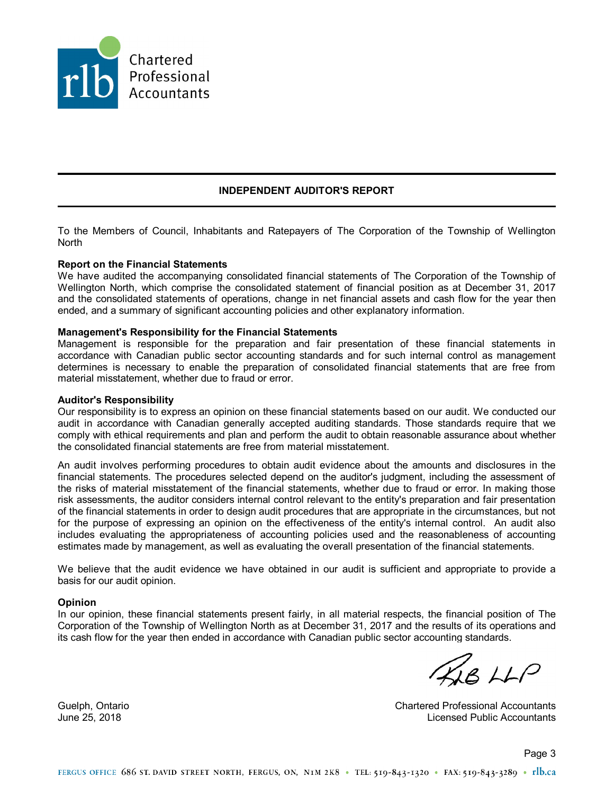

#### **INDEPENDENT AUDITOR'S REPORT**

To the Members of Council, Inhabitants and Ratepayers of The Corporation of the Township of Wellington **North** 

#### **Report on the Financial Statements**

We have audited the accompanying consolidated financial statements of The Corporation of the Township of Wellington North, which comprise the consolidated statement of financial position as at December 31, 2017 and the consolidated statements of operations, change in net financial assets and cash flow for the year then ended, and a summary of significant accounting policies and other explanatory information.

#### **Management's Responsibility for the Financial Statements**

Management is responsible for the preparation and fair presentation of these financial statements in accordance with Canadian public sector accounting standards and for such internal control as management determines is necessary to enable the preparation of consolidated financial statements that are free from material misstatement, whether due to fraud or error.

#### **Auditor's Responsibility**

Our responsibility is to express an opinion on these financial statements based on our audit. We conducted our audit in accordance with Canadian generally accepted auditing standards. Those standards require that we comply with ethical requirements and plan and perform the audit to obtain reasonable assurance about whether the consolidated financial statements are free from material misstatement.

An audit involves performing procedures to obtain audit evidence about the amounts and disclosures in the financial statements. The procedures selected depend on the auditor's judgment, including the assessment of the risks of material misstatement of the financial statements, whether due to fraud or error. In making those risk assessments, the auditor considers internal control relevant to the entity's preparation and fair presentation of the financial statements in order to design audit procedures that are appropriate in the circumstances, but not for the purpose of expressing an opinion on the effectiveness of the entity's internal control. An audit also includes evaluating the appropriateness of accounting policies used and the reasonableness of accounting estimates made by management, as well as evaluating the overall presentation of the financial statements.

We believe that the audit evidence we have obtained in our audit is sufficient and appropriate to provide a basis for our audit opinion.

#### **Opinion**

In our opinion, these financial statements present fairly, in all material respects, the financial position of The Corporation of the Township of Wellington North as at December 31, 2017 and the results of its operations and its cash flow for the year then ended in accordance with Canadian public sector accounting standards.

JBLLP

Guelph, Ontario Chartered Professional Accountants June 25, 2018 Licensed Public Accountants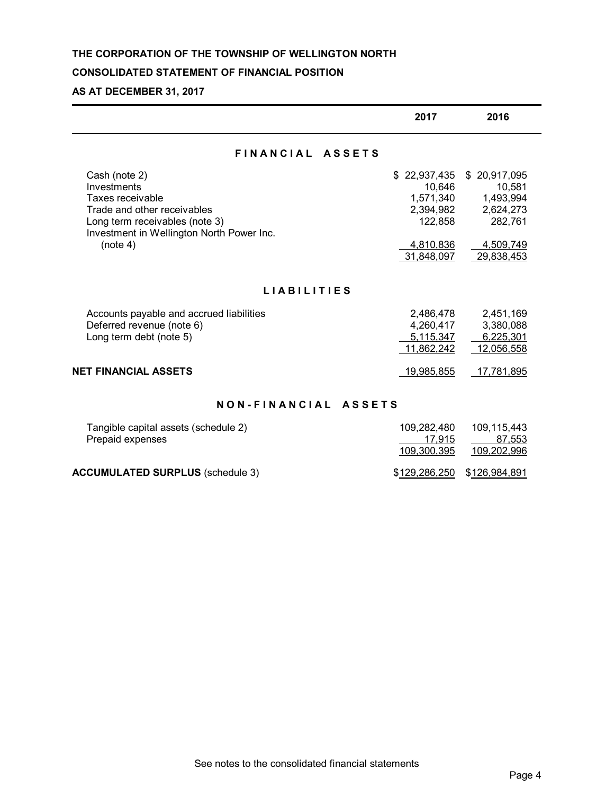# **CONSOLIDATED STATEMENT OF FINANCIAL POSITION**

# **AS AT DECEMBER 31, 2017**

|                                                                                                                                                                            | 2017                                                                                   | 2016                                                                                   |  |  |  |
|----------------------------------------------------------------------------------------------------------------------------------------------------------------------------|----------------------------------------------------------------------------------------|----------------------------------------------------------------------------------------|--|--|--|
| FINANCIAL ASSETS                                                                                                                                                           |                                                                                        |                                                                                        |  |  |  |
| Cash (note 2)<br>Investments<br>Taxes receivable<br>Trade and other receivables<br>Long term receivables (note 3)<br>Investment in Wellington North Power Inc.<br>(note 4) | \$22,937,435<br>10,646<br>1,571,340<br>2,394,982<br>122,858<br>4,810,836<br>31,848,097 | \$20,917,095<br>10,581<br>1,493,994<br>2,624,273<br>282,761<br>4,509,749<br>29,838,453 |  |  |  |
| <b>LIABILITIES</b>                                                                                                                                                         |                                                                                        |                                                                                        |  |  |  |
| Accounts payable and accrued liabilities<br>Deferred revenue (note 6)<br>Long term debt (note 5)                                                                           | 2,486,478<br>4,260,417<br>5,115,347<br>11,862,242                                      | 2,451,169<br>3,380,088<br>6,225,301<br>12,056,558                                      |  |  |  |
| <b>NET FINANCIAL ASSETS</b>                                                                                                                                                | <u>19,985,855</u>                                                                      | <u>17,781,895</u>                                                                      |  |  |  |
| NON-FINANCIAL ASSETS                                                                                                                                                       |                                                                                        |                                                                                        |  |  |  |
| $T$ angibla aanital assata (sabadula 3)                                                                                                                                    | 100 000 100                                                                            | 100.115.112                                                                            |  |  |  |

| Tangible capital assets (schedule 2)    | 109,282,480                 | 109.115.443 |
|-----------------------------------------|-----------------------------|-------------|
| Prepaid expenses                        | 17.915                      | 87.553      |
|                                         | 109.300.395                 | 109,202,996 |
| <b>ACCUMULATED SURPLUS (schedule 3)</b> | \$129,286,250 \$126,984,891 |             |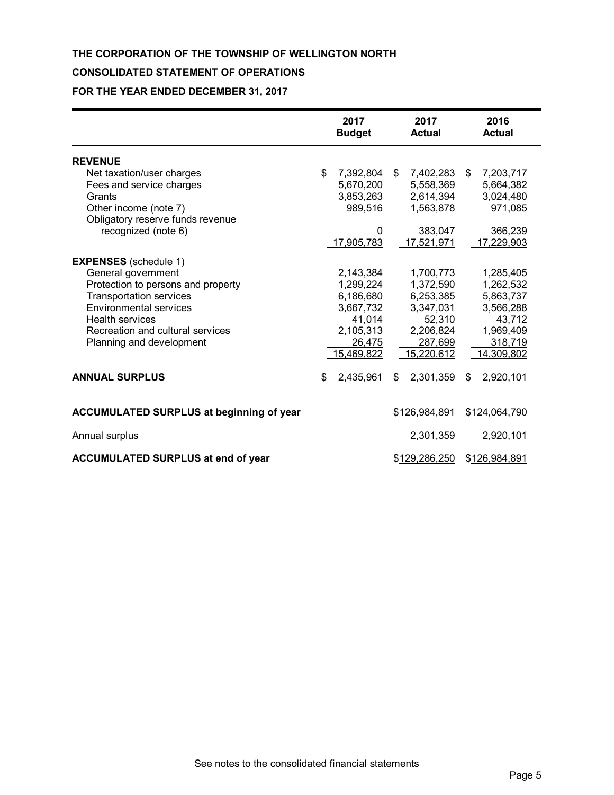# **CONSOLIDATED STATEMENT OF OPERATIONS**

|                                           | 2017<br><b>Budget</b> | 2017<br><b>Actual</b> | 2016<br><b>Actual</b> |
|-------------------------------------------|-----------------------|-----------------------|-----------------------|
| <b>REVENUE</b>                            |                       |                       |                       |
| Net taxation/user charges                 | \$<br>7,392,804       | \$<br>7,402,283       | \$<br>7,203,717       |
| Fees and service charges                  | 5,670,200             | 5,558,369             | 5,664,382             |
| Grants                                    | 3,853,263             | 2,614,394             | 3,024,480             |
| Other income (note 7)                     | 989,516               | 1,563,878             | 971,085               |
| Obligatory reserve funds revenue          |                       |                       |                       |
| recognized (note 6)                       | 0                     | 383,047               | 366,239               |
|                                           | 17.905.783            | 17,521,971            | 17,229,903            |
| <b>EXPENSES</b> (schedule 1)              |                       |                       |                       |
| General government                        | 2,143,384             | 1,700,773             | 1,285,405             |
| Protection to persons and property        | 1,299,224             | 1,372,590             | 1,262,532             |
| <b>Transportation services</b>            | 6,186,680             | 6,253,385             | 5,863,737             |
| Environmental services                    | 3,667,732             | 3,347,031             | 3,566,288             |
| <b>Health services</b>                    | 41,014                | 52,310                | 43,712                |
| Recreation and cultural services          | 2,105,313             | 2,206,824             | 1,969,409             |
| Planning and development                  | 26,475                | 287,699               | 318,719               |
|                                           | 15,469,822            | 15,220,612            | 14,309,802            |
| <b>ANNUAL SURPLUS</b>                     | \$<br>2,435,961       | \$<br>2,301,359       | \$<br>2,920,101       |
| ACCUMULATED SURPLUS at beginning of year  |                       | \$126,984,891         | \$124,064,790         |
| Annual surplus                            |                       | 2,301,359             | 2,920,101             |
| <b>ACCUMULATED SURPLUS at end of year</b> |                       | \$129,286,250         | \$126,984,891         |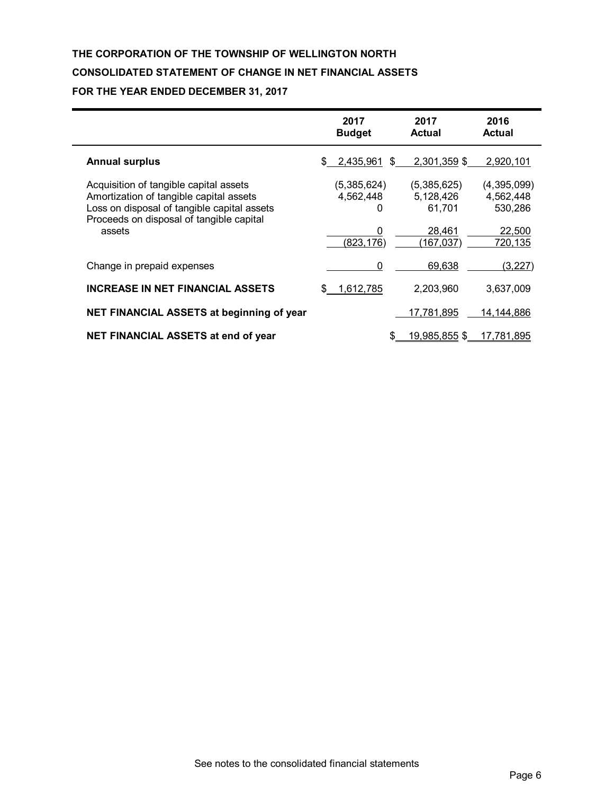# **THE CORPORATION OF THE TOWNSHIP OF WELLINGTON NORTH CONSOLIDATED STATEMENT OF CHANGE IN NET FINANCIAL ASSETS FOR THE YEAR ENDED DECEMBER 31, 2017**

|                                                                                                                                                                                        | 2017<br><b>Budget</b>                            | 2017<br><b>Actual</b>                                      | 2016<br><b>Actual</b>                                    |
|----------------------------------------------------------------------------------------------------------------------------------------------------------------------------------------|--------------------------------------------------|------------------------------------------------------------|----------------------------------------------------------|
| <b>Annual surplus</b>                                                                                                                                                                  | 2,435,961<br>\$.<br>\$.                          | 2,301,359 \$                                               | 2,920,101                                                |
| Acquisition of tangible capital assets<br>Amortization of tangible capital assets<br>Loss on disposal of tangible capital assets<br>Proceeds on disposal of tangible capital<br>assets | (5,385,624)<br>4,562,448<br>0<br>0<br>(823, 176) | (5,385,625)<br>5,128,426<br>61,701<br>28.461<br>(167, 037) | (4,395,099)<br>4,562,448<br>530,286<br>22,500<br>720,135 |
| Change in prepaid expenses                                                                                                                                                             | 0                                                | 69,638                                                     | (3,227)                                                  |
| INCREASE IN NET FINANCIAL ASSETS                                                                                                                                                       | <u>1,612,785</u><br>S                            | 2,203,960                                                  | 3,637,009                                                |
| NET FINANCIAL ASSETS at beginning of year                                                                                                                                              |                                                  | 17,781,895                                                 | 14,144,886                                               |
| NET FINANCIAL ASSETS at end of year                                                                                                                                                    |                                                  | 19,985,855 \$                                              | 17.781.895                                               |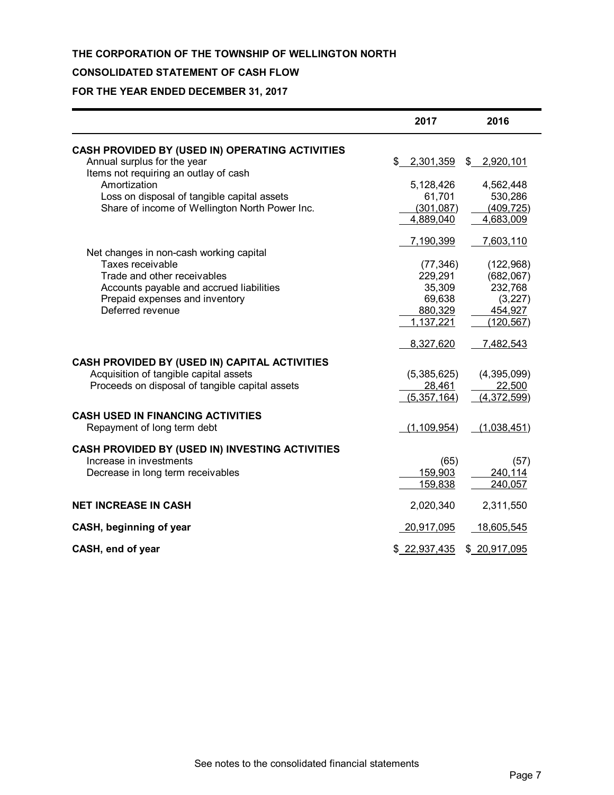# **CONSOLIDATED STATEMENT OF CASH FLOW**

|                                                                                                                                                        | 2017                                                             | 2016                                                                    |
|--------------------------------------------------------------------------------------------------------------------------------------------------------|------------------------------------------------------------------|-------------------------------------------------------------------------|
| CASH PROVIDED BY (USED IN) OPERATING ACTIVITIES<br>Annual surplus for the year                                                                         | \$<br>2,301,359                                                  | \$ 2,920,101                                                            |
| Items not requiring an outlay of cash<br>Amortization<br>Loss on disposal of tangible capital assets<br>Share of income of Wellington North Power Inc. | 5,128,426<br>61,701<br>(301, 087)                                | 4,562,448<br>530,286<br>(409, 725)                                      |
| Net changes in non-cash working capital                                                                                                                | 4,889,040<br>7,190,399                                           | 4,683,009<br>7,603,110                                                  |
| Taxes receivable<br>Trade and other receivables<br>Accounts payable and accrued liabilities<br>Prepaid expenses and inventory<br>Deferred revenue      | (77, 346)<br>229,291<br>35,309<br>69,638<br>880,329<br>1,137,221 | (122, 968)<br>(682,067)<br>232,768<br>(3, 227)<br>454,927<br>(120, 567) |
|                                                                                                                                                        | 8,327,620                                                        | 7,482,543                                                               |
| CASH PROVIDED BY (USED IN) CAPITAL ACTIVITIES<br>Acquisition of tangible capital assets<br>Proceeds on disposal of tangible capital assets             | (5,385,625)<br>28,461<br>(5,357,164)                             | (4,395,099)<br>22,500<br>(4,372,599)                                    |
| <b>CASH USED IN FINANCING ACTIVITIES</b><br>Repayment of long term debt                                                                                | (1, 109, 954)                                                    | (1,038,451)                                                             |
| CASH PROVIDED BY (USED IN) INVESTING ACTIVITIES<br>Increase in investments<br>Decrease in long term receivables                                        | (65)<br>159,903<br>159,838                                       | (57)<br>240,114<br>240,057                                              |
| <b>NET INCREASE IN CASH</b>                                                                                                                            | 2,020,340                                                        | 2,311,550                                                               |
| CASH, beginning of year                                                                                                                                | 20,917,095                                                       | 18,605,545                                                              |
| CASH, end of year                                                                                                                                      | \$22,937,435                                                     | \$20,917,095                                                            |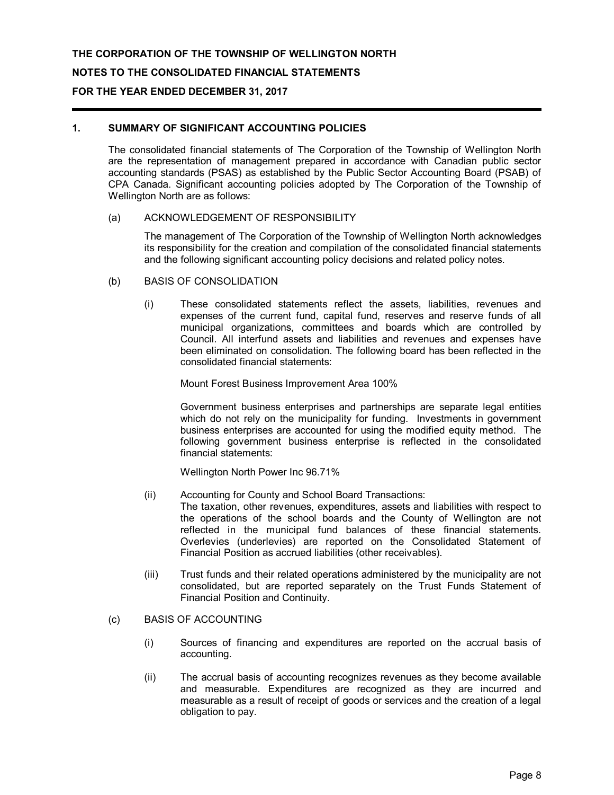# **THE CORPORATION OF THE TOWNSHIP OF WELLINGTON NORTH NOTES TO THE CONSOLIDATED FINANCIAL STATEMENTS FOR THE YEAR ENDED DECEMBER 31, 2017**

### **1. SUMMARY OF SIGNIFICANT ACCOUNTING POLICIES**

The consolidated financial statements of The Corporation of the Township of Wellington North are the representation of management prepared in accordance with Canadian public sector accounting standards (PSAS) as established by the Public Sector Accounting Board (PSAB) of CPA Canada. Significant accounting policies adopted by The Corporation of the Township of Wellington North are as follows:

#### (a) ACKNOWLEDGEMENT OF RESPONSIBILITY

The management of The Corporation of the Township of Wellington North acknowledges its responsibility for the creation and compilation of the consolidated financial statements and the following significant accounting policy decisions and related policy notes.

- (b) BASIS OF CONSOLIDATION
	- (i) These consolidated statements reflect the assets, liabilities, revenues and expenses of the current fund, capital fund, reserves and reserve funds of all municipal organizations, committees and boards which are controlled by Council. All interfund assets and liabilities and revenues and expenses have been eliminated on consolidation. The following board has been reflected in the consolidated financial statements:

Mount Forest Business Improvement Area 100%

Government business enterprises and partnerships are separate legal entities which do not rely on the municipality for funding. Investments in government business enterprises are accounted for using the modified equity method. The following government business enterprise is reflected in the consolidated financial statements:

Wellington North Power Inc 96.71%

- (ii) Accounting for County and School Board Transactions: The taxation, other revenues, expenditures, assets and liabilities with respect to the operations of the school boards and the County of Wellington are not reflected in the municipal fund balances of these financial statements. Overlevies (underlevies) are reported on the Consolidated Statement of Financial Position as accrued liabilities (other receivables).
- (iii) Trust funds and their related operations administered by the municipality are not consolidated, but are reported separately on the Trust Funds Statement of Financial Position and Continuity.
- (c) BASIS OF ACCOUNTING
	- (i) Sources of financing and expenditures are reported on the accrual basis of accounting.
	- (ii) The accrual basis of accounting recognizes revenues as they become available and measurable. Expenditures are recognized as they are incurred and measurable as a result of receipt of goods or services and the creation of a legal obligation to pay.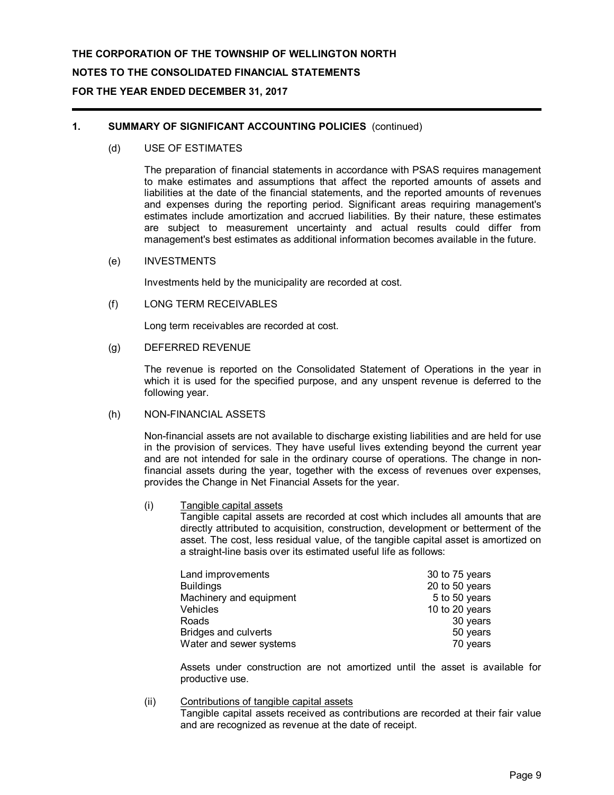# **THE CORPORATION OF THE TOWNSHIP OF WELLINGTON NORTH NOTES TO THE CONSOLIDATED FINANCIAL STATEMENTS FOR THE YEAR ENDED DECEMBER 31, 2017**

#### **1. SUMMARY OF SIGNIFICANT ACCOUNTING POLICIES** (continued)

#### (d) USE OF ESTIMATES

The preparation of financial statements in accordance with PSAS requires management to make estimates and assumptions that affect the reported amounts of assets and liabilities at the date of the financial statements, and the reported amounts of revenues and expenses during the reporting period. Significant areas requiring management's estimates include amortization and accrued liabilities. By their nature, these estimates are subject to measurement uncertainty and actual results could differ from management's best estimates as additional information becomes available in the future.

#### (e) INVESTMENTS

Investments held by the municipality are recorded at cost.

#### (f) LONG TERM RECEIVABLES

Long term receivables are recorded at cost.

#### (g) DEFERRED REVENUE

The revenue is reported on the Consolidated Statement of Operations in the year in which it is used for the specified purpose, and any unspent revenue is deferred to the following year.

#### (h) NON-FINANCIAL ASSETS

Non-financial assets are not available to discharge existing liabilities and are held for use in the provision of services. They have useful lives extending beyond the current year and are not intended for sale in the ordinary course of operations. The change in nonfinancial assets during the year, together with the excess of revenues over expenses, provides the Change in Net Financial Assets for the year.

#### (i) Tangible capital assets

Tangible capital assets are recorded at cost which includes all amounts that are directly attributed to acquisition, construction, development or betterment of the asset. The cost, less residual value, of the tangible capital asset is amortized on a straight-line basis over its estimated useful life as follows:

| Land improvements           | 30 to 75 years |
|-----------------------------|----------------|
| <b>Buildings</b>            | 20 to 50 years |
| Machinery and equipment     | 5 to 50 years  |
| Vehicles                    | 10 to 20 years |
| Roads                       | 30 years       |
| <b>Bridges and culverts</b> | 50 years       |
| Water and sewer systems     | 70 years       |

Assets under construction are not amortized until the asset is available for productive use.

#### (ii) Contributions of tangible capital assets

Tangible capital assets received as contributions are recorded at their fair value and are recognized as revenue at the date of receipt.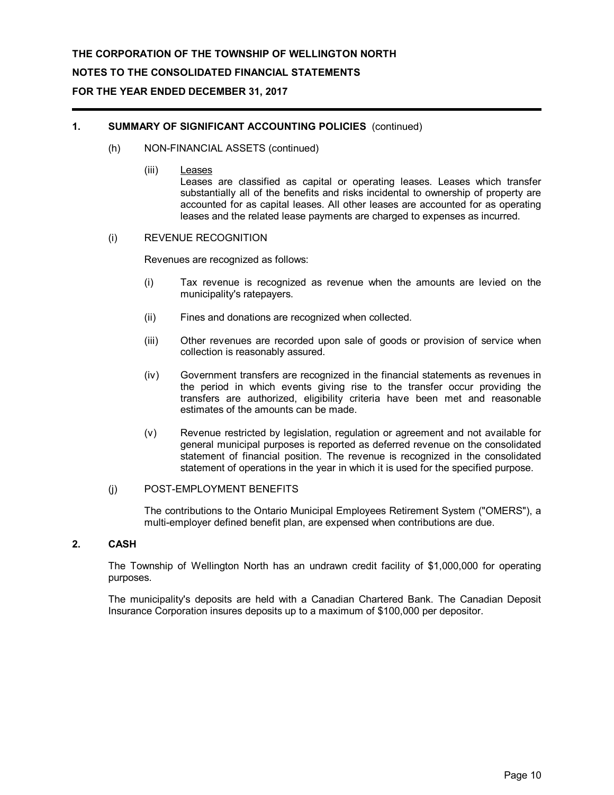# **THE CORPORATION OF THE TOWNSHIP OF WELLINGTON NORTH NOTES TO THE CONSOLIDATED FINANCIAL STATEMENTS FOR THE YEAR ENDED DECEMBER 31, 2017**

#### **1. SUMMARY OF SIGNIFICANT ACCOUNTING POLICIES** (continued)

- (h) NON-FINANCIAL ASSETS (continued)
	- (iii) Leases

Leases are classified as capital or operating leases. Leases which transfer substantially all of the benefits and risks incidental to ownership of property are accounted for as capital leases. All other leases are accounted for as operating leases and the related lease payments are charged to expenses as incurred.

#### (i) REVENUE RECOGNITION

Revenues are recognized as follows:

- (i) Tax revenue is recognized as revenue when the amounts are levied on the municipality's ratepayers.
- (ii) Fines and donations are recognized when collected.
- (iii) Other revenues are recorded upon sale of goods or provision of service when collection is reasonably assured.
- (iv) Government transfers are recognized in the financial statements as revenues in the period in which events giving rise to the transfer occur providing the transfers are authorized, eligibility criteria have been met and reasonable estimates of the amounts can be made.
- (v) Revenue restricted by legislation, regulation or agreement and not available for general municipal purposes is reported as deferred revenue on the consolidated statement of financial position. The revenue is recognized in the consolidated statement of operations in the year in which it is used for the specified purpose.

#### (j) POST-EMPLOYMENT BENEFITS

The contributions to the Ontario Municipal Employees Retirement System ("OMERS"), a multi-employer defined benefit plan, are expensed when contributions are due.

#### **2. CASH**

The Township of Wellington North has an undrawn credit facility of \$1,000,000 for operating purposes.

The municipality's deposits are held with a Canadian Chartered Bank. The Canadian Deposit Insurance Corporation insures deposits up to a maximum of \$100,000 per depositor.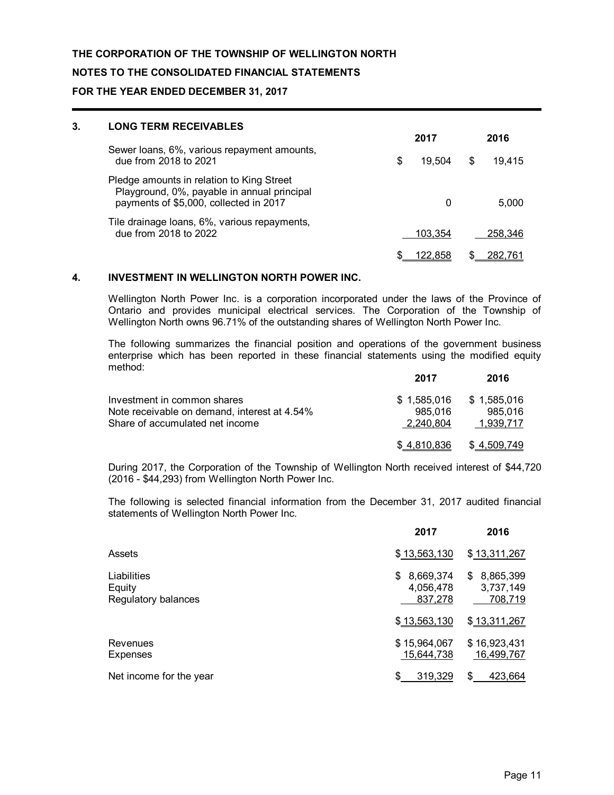#### **NOTES TO THE CONSOLIDATED FINANCIAL STATEMENTS**

#### **FOR THE YEAR ENDED DECEMBER 31, 2017**

| 3. | <b>LONG TERM RECEIVABLES</b>                                                                                                       |   |         |   |         |  |
|----|------------------------------------------------------------------------------------------------------------------------------------|---|---------|---|---------|--|
|    |                                                                                                                                    |   | 2017    |   | 2016    |  |
|    | Sewer Ioans, 6%, various repayment amounts,<br>due from 2018 to 2021                                                               | S | 19.504  | S | 19.415  |  |
|    | Pledge amounts in relation to King Street<br>Playground, 0%, payable in annual principal<br>payments of \$5,000, collected in 2017 |   | 0       |   | 5.000   |  |
|    | Tile drainage loans, 6%, various repayments,<br>due from 2018 to 2022                                                              |   | 103.354 |   | 258,346 |  |
|    |                                                                                                                                    |   | 122,858 |   | 282.761 |  |

## **4. INVESTMENT IN WELLINGTON NORTH POWER INC.**

Wellington North Power Inc. is a corporation incorporated under the laws of the Province of Ontario and provides municipal electrical services. The Corporation of the Township of Wellington North owns 96.71% of the outstanding shares of Wellington North Power Inc.

The following summarizes the financial position and operations of the government business enterprise which has been reported in these financial statements using the modified equity method:

|                                              | 2017        | 2016        |
|----------------------------------------------|-------------|-------------|
| Investment in common shares                  | \$1.585.016 | \$1,585,016 |
| Note receivable on demand, interest at 4.54% | 985.016     | 985.016     |
| Share of accumulated net income              | 2.240.804   | 1.939.717   |
|                                              | \$4,810,836 | \$4.509.749 |

During 2017, the Corporation of the Township of Wellington North received interest of \$44,720 (2016 - \$44,293) from Wellington North Power Inc.

The following is selected financial information from the December 31, 2017 audited financial statements of Wellington North Power Inc.

|                                              | 2017                                    | 2016                                    |
|----------------------------------------------|-----------------------------------------|-----------------------------------------|
| Assets                                       | \$13,563,130                            | \$13,311,267                            |
| Liabilities<br>Equity<br>Regulatory balances | 8,669,374<br>\$<br>4,056,478<br>837,278 | 8,865,399<br>\$<br>3,737,149<br>708,719 |
|                                              | \$13,563,130                            | \$13,311,267                            |
| Revenues<br>Expenses                         | \$15,964,067<br>15,644,738              | \$16,923,431<br>16,499,767              |
| Net income for the year                      | 319,329<br>\$                           | \$<br>423,664                           |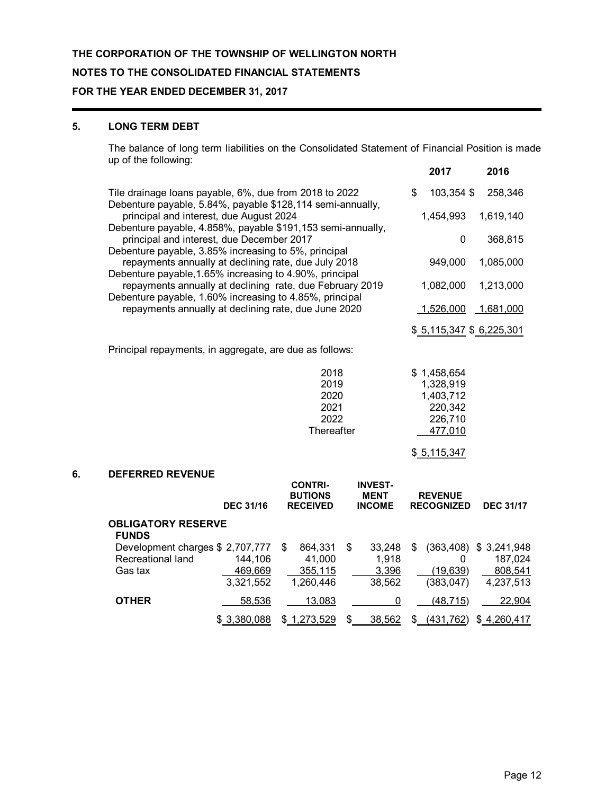# **NOTES TO THE CONSOLIDATED FINANCIAL STATEMENTS**

#### **FOR THE YEAR ENDED DECEMBER 31, 2017**

### **5. LONG TERM DEBT**

The balance of long term liabilities on the Consolidated Statement of Financial Position is made up of the following: **2017 2016**

|    |                                                                                                                      |                                 |                                                     |                                                | ZU 17                                                                  | ZUID                                           |
|----|----------------------------------------------------------------------------------------------------------------------|---------------------------------|-----------------------------------------------------|------------------------------------------------|------------------------------------------------------------------------|------------------------------------------------|
|    | Tile drainage loans payable, 6%, due from 2018 to 2022<br>Debenture payable, 5.84%, payable \$128,114 semi-annually, |                                 |                                                     |                                                | 103,354 \$<br>\$                                                       | 258,346                                        |
|    | principal and interest, due August 2024<br>Debenture payable, 4.858%, payable \$191,153 semi-annually,               |                                 |                                                     |                                                | 1,454,993                                                              | 1,619,140                                      |
|    | principal and interest, due December 2017                                                                            |                                 |                                                     |                                                | 0                                                                      | 368,815                                        |
|    | Debenture payable, 3.85% increasing to 5%, principal<br>repayments annually at declining rate, due July 2018         |                                 |                                                     |                                                | 949,000                                                                | 1,085,000                                      |
|    | Debenture payable, 1.65% increasing to 4.90%, principal<br>repayments annually at declining rate, due February 2019  |                                 |                                                     |                                                | 1,082,000                                                              | 1,213,000                                      |
|    | Debenture payable, 1.60% increasing to 4.85%, principal<br>repayments annually at declining rate, due June 2020      |                                 |                                                     |                                                | 1,526,000                                                              | 1,681,000                                      |
|    |                                                                                                                      |                                 |                                                     |                                                | \$5,115,347 \$6,225,301                                                |                                                |
|    | Principal repayments, in aggregate, are due as follows:                                                              |                                 |                                                     |                                                |                                                                        |                                                |
|    |                                                                                                                      |                                 | 2018<br>2019<br>2020<br>2021<br>2022<br>Thereafter  |                                                | \$1,458,654<br>1,328,919<br>1,403,712<br>220,342<br>226,710<br>477,010 |                                                |
|    |                                                                                                                      |                                 |                                                     |                                                | \$5,115,347                                                            |                                                |
| 6. | <b>DEFERRED REVENUE</b>                                                                                              | <b>DEC 31/16</b>                | <b>CONTRI-</b><br><b>BUTIONS</b><br><b>RECEIVED</b> | <b>INVEST-</b><br><b>MENT</b><br><b>INCOME</b> | <b>REVENUE</b><br><b>RECOGNIZED</b>                                    | <b>DEC 31/17</b>                               |
|    | <b>OBLIGATORY RESERVE</b><br><b>FUNDS</b>                                                                            |                                 |                                                     |                                                |                                                                        |                                                |
|    | Development charges \$ 2,707,777<br>Recreational land<br>Gas tax                                                     | 144,106<br>469,669<br>3,321,552 | \$<br>864,331<br>41,000<br>355,115<br>1,260,446     | \$<br>33,248<br>1,918<br>3,396<br>38,562       | (363, 408)<br>\$<br>0<br>(19, 639)<br>(383, 047)                       | \$3,241,948<br>187,024<br>808,541<br>4,237,513 |
|    | <b>OTHER</b>                                                                                                         | 58,536                          | 13,083                                              | $\pmb{0}$                                      | (48, 715)                                                              | 22,904                                         |
|    |                                                                                                                      | \$3,380,088                     | \$1,273,529                                         | 38,562<br>\$                                   | \$ (431,762)                                                           | \$4,260,417                                    |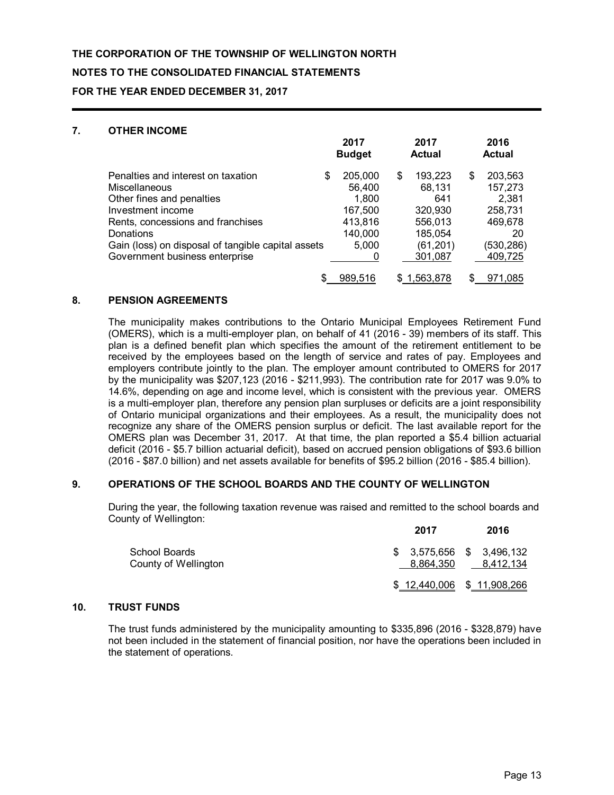#### **NOTES TO THE CONSOLIDATED FINANCIAL STATEMENTS**

**FOR THE YEAR ENDED DECEMBER 31, 2017**

#### **7. OTHER INCOME**

|                                                                                                                                                                                                                                                        | 2017<br><b>Budget</b>                                                           | 2017<br><b>Actual</b>                                                                  |   | 2016<br><b>Actual</b>                                                           |
|--------------------------------------------------------------------------------------------------------------------------------------------------------------------------------------------------------------------------------------------------------|---------------------------------------------------------------------------------|----------------------------------------------------------------------------------------|---|---------------------------------------------------------------------------------|
| Penalties and interest on taxation<br><b>Miscellaneous</b><br>Other fines and penalties<br>Investment income<br>Rents, concessions and franchises<br>Donations<br>Gain (loss) on disposal of tangible capital assets<br>Government business enterprise | \$<br>205,000<br>56,400<br>1,800<br>167.500<br>413,816<br>140,000<br>5,000<br>0 | \$<br>193,223<br>68,131<br>641<br>320,930<br>556,013<br>185,054<br>(61,201)<br>301,087 | S | 203,563<br>157,273<br>2.381<br>258,731<br>469.678<br>20<br>(530,286)<br>409,725 |
|                                                                                                                                                                                                                                                        | 989.516                                                                         | \$1.563.878                                                                            |   | 971.085                                                                         |

#### **8. PENSION AGREEMENTS**

The municipality makes contributions to the Ontario Municipal Employees Retirement Fund (OMERS), which is a multi-employer plan, on behalf of 41 (2016 - 39) members of its staff. This plan is a defined benefit plan which specifies the amount of the retirement entitlement to be received by the employees based on the length of service and rates of pay. Employees and employers contribute jointly to the plan. The employer amount contributed to OMERS for 2017 by the municipality was \$207,123 (2016 - \$211,993). The contribution rate for 2017 was 9.0% to 14.6%, depending on age and income level, which is consistent with the previous year. OMERS is a multi-employer plan, therefore any pension plan surpluses or deficits are a joint responsibility of Ontario municipal organizations and their employees. As a result, the municipality does not recognize any share of the OMERS pension surplus or deficit. The last available report for the OMERS plan was December 31, 2017. At that time, the plan reported a \$5.4 billion actuarial deficit (2016 - \$5.7 billion actuarial deficit), based on accrued pension obligations of \$93.6 billion (2016 - \$87.0 billion) and net assets available for benefits of \$95.2 billion (2016 - \$85.4 billion).

#### **9. OPERATIONS OF THE SCHOOL BOARDS AND THE COUNTY OF WELLINGTON**

During the year, the following taxation revenue was raised and remitted to the school boards and County of Wellington:

|                                       | 2017 | 2016                                             |
|---------------------------------------|------|--------------------------------------------------|
| School Boards<br>County of Wellington |      | $$3,575,656$ $$3,496,132$<br>8,864,350 8,412,134 |
|                                       |      | $$12,440,006$ $$11,908,266$                      |

### **10. TRUST FUNDS**

The trust funds administered by the municipality amounting to \$335,896 (2016 - \$328,879) have not been included in the statement of financial position, nor have the operations been included in the statement of operations.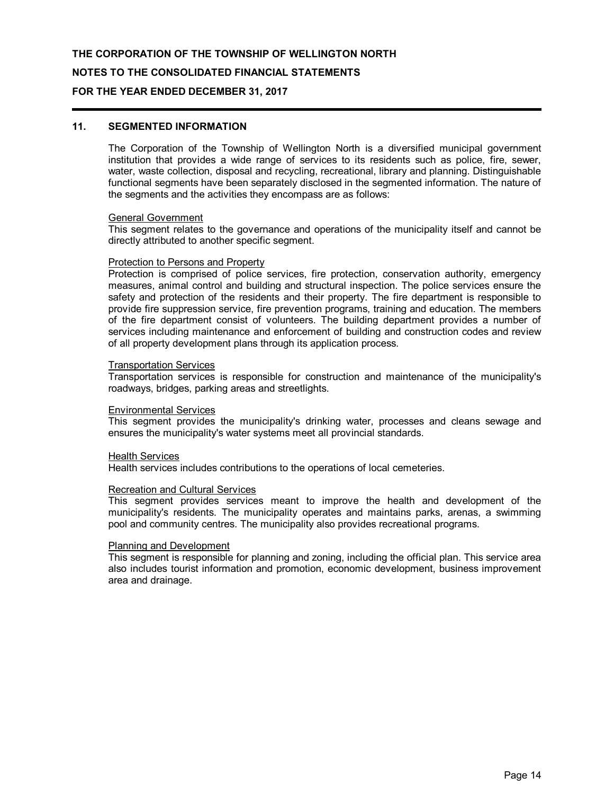#### **NOTES TO THE CONSOLIDATED FINANCIAL STATEMENTS**

#### **FOR THE YEAR ENDED DECEMBER 31, 2017**

#### **11. SEGMENTED INFORMATION**

The Corporation of the Township of Wellington North is a diversified municipal government institution that provides a wide range of services to its residents such as police, fire, sewer, water, waste collection, disposal and recycling, recreational, library and planning. Distinguishable functional segments have been separately disclosed in the segmented information. The nature of the segments and the activities they encompass are as follows:

#### General Government

This segment relates to the governance and operations of the municipality itself and cannot be directly attributed to another specific segment.

#### Protection to Persons and Property

Protection is comprised of police services, fire protection, conservation authority, emergency measures, animal control and building and structural inspection. The police services ensure the safety and protection of the residents and their property. The fire department is responsible to provide fire suppression service, fire prevention programs, training and education. The members of the fire department consist of volunteers. The building department provides a number of services including maintenance and enforcement of building and construction codes and review of all property development plans through its application process.

#### Transportation Services

Transportation services is responsible for construction and maintenance of the municipality's roadways, bridges, parking areas and streetlights.

#### Environmental Services

This segment provides the municipality's drinking water, processes and cleans sewage and ensures the municipality's water systems meet all provincial standards.

#### Health Services

Health services includes contributions to the operations of local cemeteries.

#### Recreation and Cultural Services

This segment provides services meant to improve the health and development of the municipality's residents. The municipality operates and maintains parks, arenas, a swimming pool and community centres. The municipality also provides recreational programs.

#### Planning and Development

This segment is responsible for planning and zoning, including the official plan. This service area also includes tourist information and promotion, economic development, business improvement area and drainage.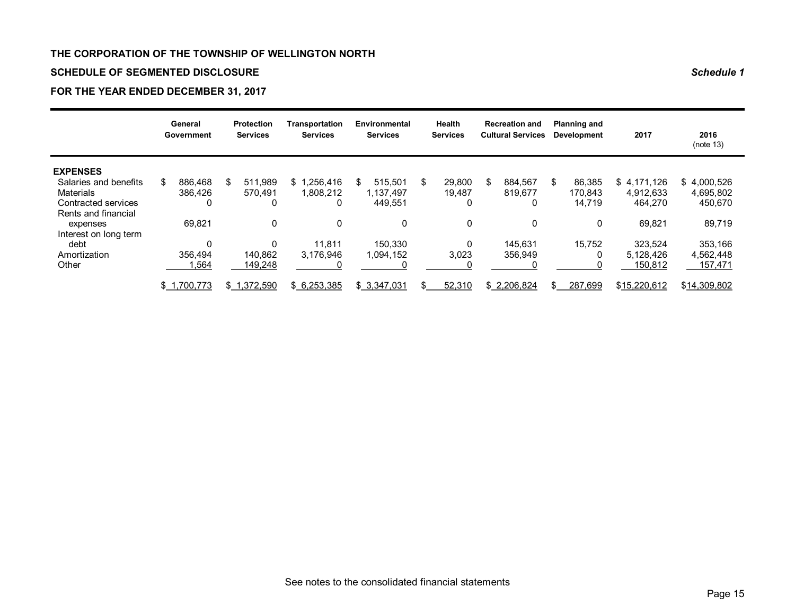#### **SCHEDULE OF SEGMENTED DISCLOSURE** *Schedule 1*

|                       | General<br>Government |     | <b>Protection</b><br><b>Services</b> | Transportation<br><b>Services</b> |   | <b>Environmental</b><br><b>Services</b> | Health<br><b>Services</b> | <b>Recreation and</b><br><b>Cultural Services</b> |     | <b>Planning and</b><br><b>Development</b> | 2017           | 2016<br>(note 13) |
|-----------------------|-----------------------|-----|--------------------------------------|-----------------------------------|---|-----------------------------------------|---------------------------|---------------------------------------------------|-----|-------------------------------------------|----------------|-------------------|
| <b>EXPENSES</b>       |                       |     |                                      |                                   |   |                                         |                           |                                                   |     |                                           |                |                   |
| Salaries and benefits | \$<br>886.468         | \$  | 511.989                              | \$1.256.416                       | S | 515.501                                 | \$<br>29,800              | \$<br>884.567                                     | \$. | 86.385                                    | \$4.171.126    | \$4,000,526       |
| Materials             | 386.426               |     | 570.491                              | 1.808.212                         |   | 1.137.497                               | 19,487                    | 819.677                                           |     | 170.843                                   | 4.912.633      | 4,695,802         |
| Contracted services   | 0                     |     | 0                                    | 0                                 |   | 449,551                                 | 0                         | 0                                                 |     | 14.719                                    | 464.270        | 450,670           |
| Rents and financial   |                       |     |                                      |                                   |   |                                         |                           |                                                   |     |                                           |                |                   |
| expenses              | 69.821                |     | 0                                    | 0                                 |   | 0                                       | 0                         | 0                                                 |     | 0                                         | 69,821         | 89,719            |
| Interest on long term |                       |     |                                      |                                   |   |                                         |                           |                                                   |     |                                           |                |                   |
| debt                  | $\Omega$              |     | $\Omega$                             | 11.811                            |   | 150.330                                 | 0                         | 145.631                                           |     | 15,752                                    | 323.524        | 353,166           |
| Amortization          | 356.494               |     | 140.862                              | 3,176,946                         |   | 1,094,152                               | 3,023                     | 356,949                                           |     |                                           | 5,128,426      | 4,562,448         |
| Other                 | .564                  |     | 149,248                              |                                   |   |                                         |                           |                                                   |     |                                           | <u>150,812</u> | 157,471           |
|                       | \$1,700,773           | \$1 | 1,372,590                            | \$6,253,385                       |   | \$3,347,031                             | 52,310                    | \$2,206,824                                       |     | 287,699                                   | \$15,220,612   | \$14,309,802      |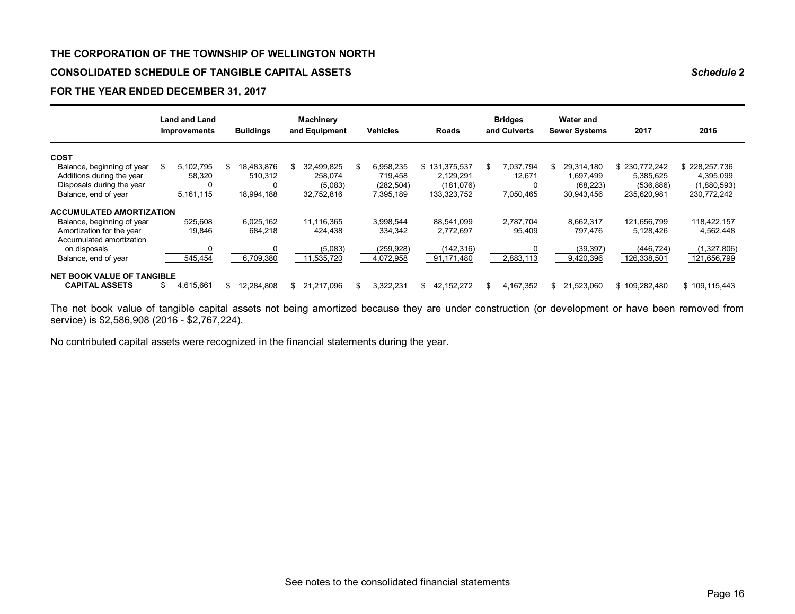# **CONSOLIDATED SCHEDULE OF TANGIBLE CAPITAL ASSETS** *Schedule* **2**

# **FOR THE YEAR ENDED DECEMBER 31, 2017**

|                                   | <b>Land and Land</b><br><b>Improvements</b> |     | <b>Buildings</b> | <b>Machinery</b><br>and Equipment |     | <b>Vehicles</b> |     | <b>Roads</b>  |     | <b>Bridges</b><br>and Culverts | <b>Water and</b><br><b>Sewer Systems</b> | 2017          | 2016          |
|-----------------------------------|---------------------------------------------|-----|------------------|-----------------------------------|-----|-----------------|-----|---------------|-----|--------------------------------|------------------------------------------|---------------|---------------|
| <b>COST</b>                       |                                             |     |                  |                                   |     |                 |     |               |     |                                |                                          |               |               |
| Balance, beginning of year        | \$<br>5.102.795                             | \$  | 18.483.876       | \$<br>32,499,825                  | \$  | 6,958,235       |     | \$131,375,537 | \$  | 7,037,794                      | \$<br>29.314.180                         | \$230,772,242 | \$228,257,736 |
| Additions during the year         | 58,320                                      |     | 510,312          | 258.074                           |     | 719.458         |     | 2.129.291     |     | 12,671                         | 1.697.499                                | 5,385,625     | 4.395.099     |
| Disposals during the year         |                                             |     |                  | (5,083)                           |     | (282, 504)      |     | (181.076)     |     |                                | (68, 223)                                | (536, 886)    | (1,880,593)   |
| Balance, end of year              | 5,161,115                                   |     | 18,994,188       | 32,752,816                        |     | 7,395,189       |     | 133,323,752   |     | 7,050,465                      | 30,943,456                               | 235,620,981   | 230,772,242   |
| <b>ACCUMULATED AMORTIZATION</b>   |                                             |     |                  |                                   |     |                 |     |               |     |                                |                                          |               |               |
| Balance, beginning of year        | 525,608                                     |     | 6,025,162        | 11.116.365                        |     | 3,998,544       |     | 88.541.099    |     | 2.787.704                      | 8,662,317                                | 121,656,799   | 118,422,157   |
| Amortization for the year         | 19,846                                      |     | 684,218          | 424,438                           |     | 334,342         |     | 2,772,697     |     | 95,409                         | 797.476                                  | 5,128,426     | 4,562,448     |
| Accumulated amortization          |                                             |     |                  |                                   |     |                 |     |               |     |                                |                                          |               |               |
| on disposals                      |                                             |     |                  | (5,083)                           |     | (259, 928)      |     | (142,316)     |     |                                | (39, 397)                                | (446, 724)    | (1,327,806)   |
| Balance, end of year              | 545,454                                     |     | 6,709,380        | 11,535,720                        |     | 4,072,958       |     | 91,171,480    |     | 2,883,113                      | 9,420,396                                | 126,338,501   | 121,656,799   |
| <b>NET BOOK VALUE OF TANGIBLE</b> |                                             |     |                  |                                   |     |                 |     |               |     |                                |                                          |               |               |
| <b>CAPITAL ASSETS</b>             | \$<br>4,615,661                             | \$. | 12,284,808       | \$<br>21.217.096                  | \$. | 3.322.231       | \$. | 42,152,272    | \$. | 4,167,352                      | \$<br>21,523,060                         | \$109,282,480 | \$109,115,443 |

The net book value of tangible capital assets not being amortized because they are under construction (or development or have been removed from service) is \$2,586,908 (2016 - \$2,767,224).

No contributed capital assets were recognized in the financial statements during the year.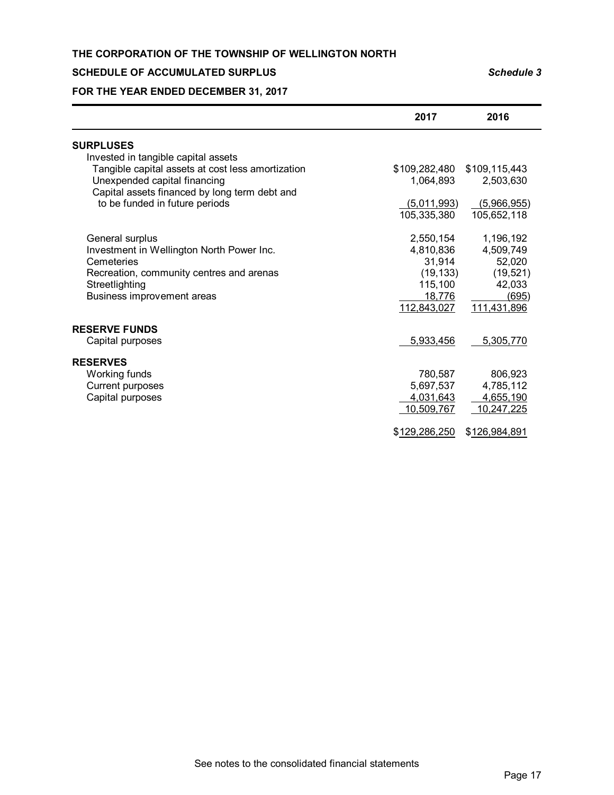### **SCHEDULE OF ACCUMULATED SURPLUS** *Schedule 3*

|                                                   | 2017               | 2016          |
|---------------------------------------------------|--------------------|---------------|
| <b>SURPLUSES</b>                                  |                    |               |
| Invested in tangible capital assets               |                    |               |
| Tangible capital assets at cost less amortization | \$109,282,480      | \$109,115,443 |
| Unexpended capital financing                      | 1,064,893          | 2,503,630     |
| Capital assets financed by long term debt and     |                    |               |
| to be funded in future periods                    | <u>(5,011,993)</u> | (5,966,955)   |
|                                                   | 105,335,380        | 105,652,118   |
| General surplus                                   | 2,550,154          | 1,196,192     |
| Investment in Wellington North Power Inc.         | 4,810,836          | 4,509,749     |
| Cemeteries                                        | 31,914             | 52,020        |
| Recreation, community centres and arenas          | (19, 133)          | (19, 521)     |
| Streetlighting                                    | 115,100            | 42,033        |
| Business improvement areas                        | 18,776             | (695)         |
|                                                   | 112,843,027        | 111,431,896   |
| <b>RESERVE FUNDS</b>                              |                    |               |
| Capital purposes                                  | 5,933,456          | 5,305,770     |
| <b>RESERVES</b>                                   |                    |               |
| Working funds                                     | 780,587            | 806,923       |
| <b>Current purposes</b>                           | 5,697,537          | 4,785,112     |
| Capital purposes                                  | <u>4,031,643</u>   | 4,655,190     |
|                                                   | 10,509,767         | 10,247,225    |
|                                                   | \$129,286,250      | \$126,984,891 |
|                                                   |                    |               |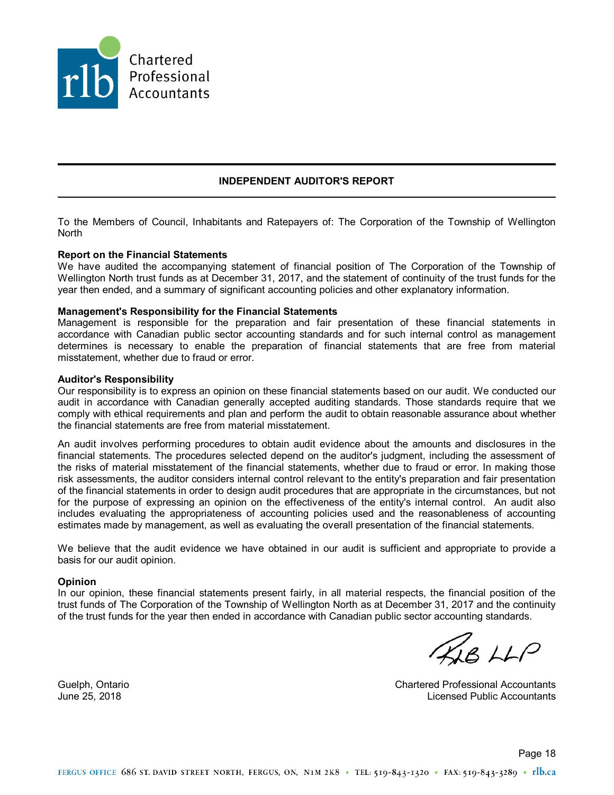

## **INDEPENDENT AUDITOR'S REPORT**

To the Members of Council, Inhabitants and Ratepayers of: The Corporation of the Township of Wellington North

#### **Report on the Financial Statements**

We have audited the accompanying statement of financial position of The Corporation of the Township of Wellington North trust funds as at December 31, 2017, and the statement of continuity of the trust funds for the year then ended, and a summary of significant accounting policies and other explanatory information.

#### **Management's Responsibility for the Financial Statements**

Management is responsible for the preparation and fair presentation of these financial statements in accordance with Canadian public sector accounting standards and for such internal control as management determines is necessary to enable the preparation of financial statements that are free from material misstatement, whether due to fraud or error.

#### **Auditor's Responsibility**

Our responsibility is to express an opinion on these financial statements based on our audit. We conducted our audit in accordance with Canadian generally accepted auditing standards. Those standards require that we comply with ethical requirements and plan and perform the audit to obtain reasonable assurance about whether the financial statements are free from material misstatement.

An audit involves performing procedures to obtain audit evidence about the amounts and disclosures in the financial statements. The procedures selected depend on the auditor's judgment, including the assessment of the risks of material misstatement of the financial statements, whether due to fraud or error. In making those risk assessments, the auditor considers internal control relevant to the entity's preparation and fair presentation of the financial statements in order to design audit procedures that are appropriate in the circumstances, but not for the purpose of expressing an opinion on the effectiveness of the entity's internal control. An audit also includes evaluating the appropriateness of accounting policies used and the reasonableness of accounting estimates made by management, as well as evaluating the overall presentation of the financial statements.

We believe that the audit evidence we have obtained in our audit is sufficient and appropriate to provide a basis for our audit opinion.

#### **Opinion**

In our opinion, these financial statements present fairly, in all material respects, the financial position of the trust funds of The Corporation of the Township of Wellington North as at December 31, 2017 and the continuity of the trust funds for the year then ended in accordance with Canadian public sector accounting standards.

SAB LLP

Guelph, Ontario Chartered Professional Accountants June 25, 2018 Licensed Public Accountants

Page 18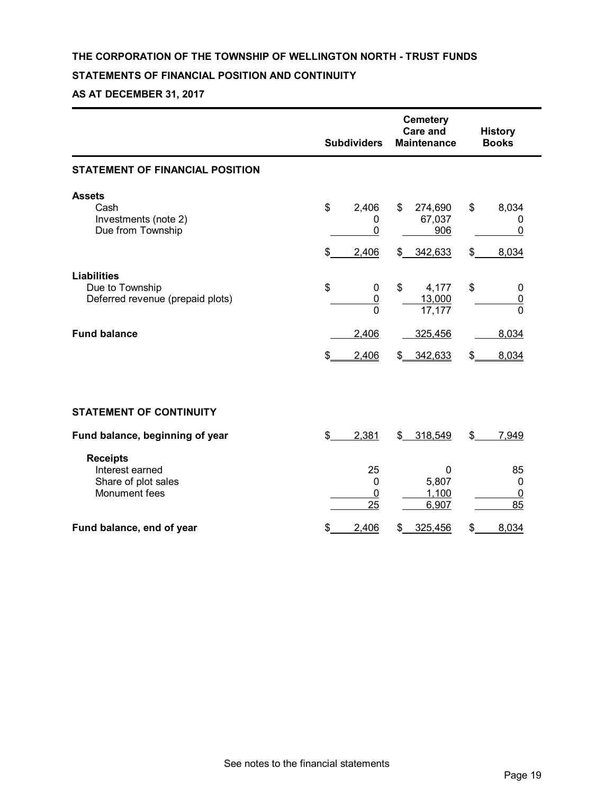# **THE CORPORATION OF THE TOWNSHIP OF WELLINGTON NORTH - TRUST FUNDS**

### **STATEMENTS OF FINANCIAL POSITION AND CONTINUITY**

**AS AT DECEMBER 31, 2017**

|                                                                            | <b>Subdividers</b>                       | <b>Cemetery</b><br><b>Care and</b><br><b>Maintenance</b> | <b>History</b><br><b>Books</b>       |
|----------------------------------------------------------------------------|------------------------------------------|----------------------------------------------------------|--------------------------------------|
| <b>STATEMENT OF FINANCIAL POSITION</b>                                     |                                          |                                                          |                                      |
| <b>Assets</b><br>Cash<br>Investments (note 2)<br>Due from Township         | \$<br>2,406<br>0<br>0<br>\$<br>2,406     | 274,690<br>\$<br>67,037<br>906<br>\$ 342,633             | \$<br>8,034<br>0<br>0<br>\$<br>8,034 |
| <b>Liabilities</b><br>Due to Township<br>Deferred revenue (prepaid plots)  | \$<br>0<br>$\overline{0}$<br>$\mathbf 0$ | \$<br>4,177<br>13,000<br>17,177                          | \$<br>0<br>0<br>0                    |
| <b>Fund balance</b>                                                        | 2,406<br>2,406<br>\$                     | 325,456<br>342,633<br>\$                                 | 8,034<br>8,034<br>\$                 |
| <b>STATEMENT OF CONTINUITY</b>                                             |                                          |                                                          |                                      |
| Fund balance, beginning of year                                            | \$<br>2,381                              | $\mathbb{S}$<br>318,549                                  | \$<br>7,949                          |
| <b>Receipts</b><br>Interest earned<br>Share of plot sales<br>Monument fees | 25<br>0<br>0<br>25                       | 0<br>5,807<br>1,100<br>6,907                             | 85<br>0<br>0<br>85                   |
| Fund balance, end of year                                                  | 2,406<br>\$                              | 325,456<br>\$                                            | 8,034<br>\$                          |